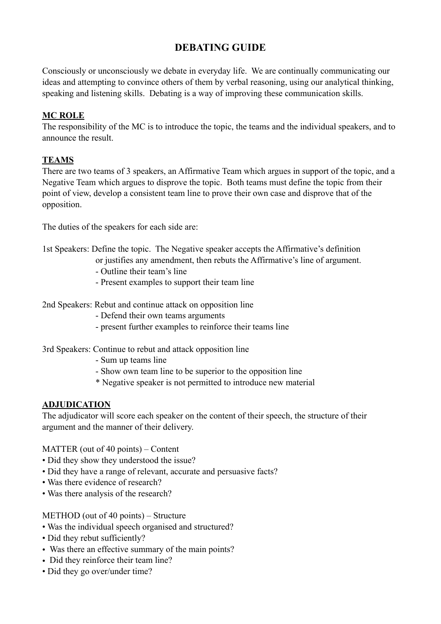# **DEBATING GUIDE**

Consciously or unconsciously we debate in everyday life. We are continually communicating our ideas and attempting to convince others of them by verbal reasoning, using our analytical thinking, speaking and listening skills. Debating is a way of improving these communication skills.

### **MC ROLE**

The responsibility of the MC is to introduce the topic, the teams and the individual speakers, and to announce the result.

## **TEAMS**

There are two teams of 3 speakers, an Affirmative Team which argues in support of the topic, and a Negative Team which argues to disprove the topic. Both teams must define the topic from their point of view, develop a consistent team line to prove their own case and disprove that of the opposition.

The duties of the speakers for each side are:

1st Speakers: Define the topic. The Negative speaker accepts the Affirmative's definition or justifies any amendment, then rebuts the Affirmative's line of argument.

- Outline their team's line
- Present examples to support their team line
- 2nd Speakers: Rebut and continue attack on opposition line
	- Defend their own teams arguments
	- present further examples to reinforce their teams line

### 3rd Speakers: Continue to rebut and attack opposition line

- Sum up teams line
- Show own team line to be superior to the opposition line
- \* Negative speaker is not permitted to introduce new material

### **ADJUDICATION**

The adjudicator will score each speaker on the content of their speech, the structure of their argument and the manner of their delivery.

MATTER (out of 40 points) – Content

- Did they show they understood the issue?
- Did they have a range of relevant, accurate and persuasive facts?
- Was there evidence of research?
- Was there analysis of the research?

METHOD (out of 40 points) – Structure

- Was the individual speech organised and structured?
- Did they rebut sufficiently?
- Was there an effective summary of the main points?
- Did they reinforce their team line?
- Did they go over/under time?